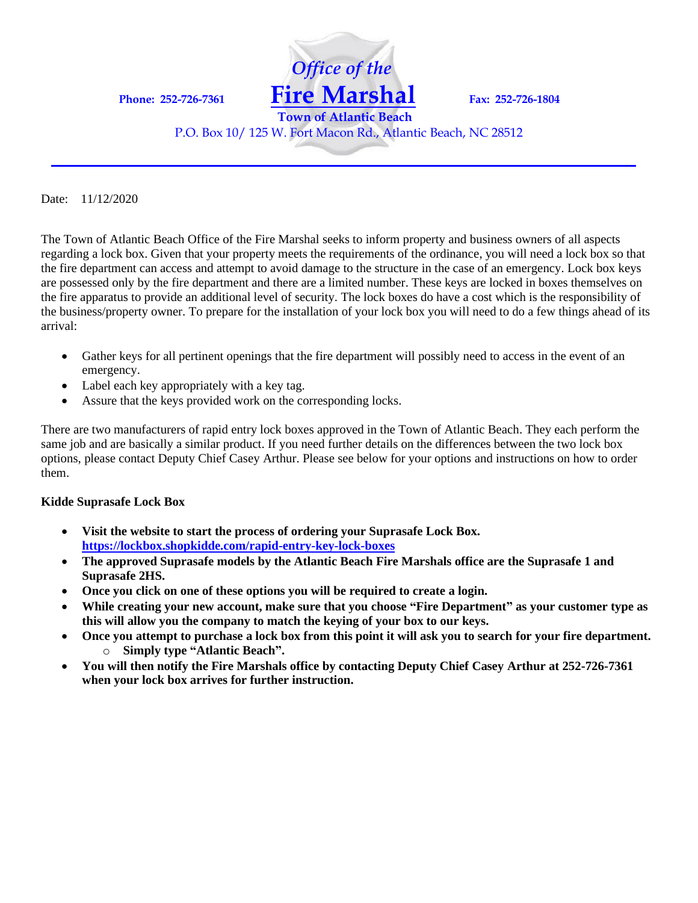

P.O. Box 10/ 125 W. Fort Macon Rd., Atlantic Beach, NC 28512

Date: 11/12/2020

The Town of Atlantic Beach Office of the Fire Marshal seeks to inform property and business owners of all aspects regarding a lock box. Given that your property meets the requirements of the ordinance, you will need a lock box so that the fire department can access and attempt to avoid damage to the structure in the case of an emergency. Lock box keys are possessed only by the fire department and there are a limited number. These keys are locked in boxes themselves on the fire apparatus to provide an additional level of security. The lock boxes do have a cost which is the responsibility of the business/property owner. To prepare for the installation of your lock box you will need to do a few things ahead of its arrival:

- Gather keys for all pertinent openings that the fire department will possibly need to access in the event of an emergency.
- Label each key appropriately with a key tag.
- Assure that the keys provided work on the corresponding locks.

There are two manufacturers of rapid entry lock boxes approved in the Town of Atlantic Beach. They each perform the same job and are basically a similar product. If you need further details on the differences between the two lock box options, please contact Deputy Chief Casey Arthur. Please see below for your options and instructions on how to order them.

## **Kidde Suprasafe Lock Box**

- **Visit the website to start the process of ordering your Suprasafe Lock Box. <https://lockbox.shopkidde.com/rapid-entry-key-lock-boxes>**
- **The approved Suprasafe models by the Atlantic Beach Fire Marshals office are the Suprasafe 1 and Suprasafe 2HS.**
- **Once you click on one of these options you will be required to create a login.**
- **While creating your new account, make sure that you choose "Fire Department" as your customer type as this will allow you the company to match the keying of your box to our keys.**
- **Once you attempt to purchase a lock box from this point it will ask you to search for your fire department.** o **Simply type "Atlantic Beach".**
- **You will then notify the Fire Marshals office by contacting Deputy Chief Casey Arthur at 252-726-7361 when your lock box arrives for further instruction.**